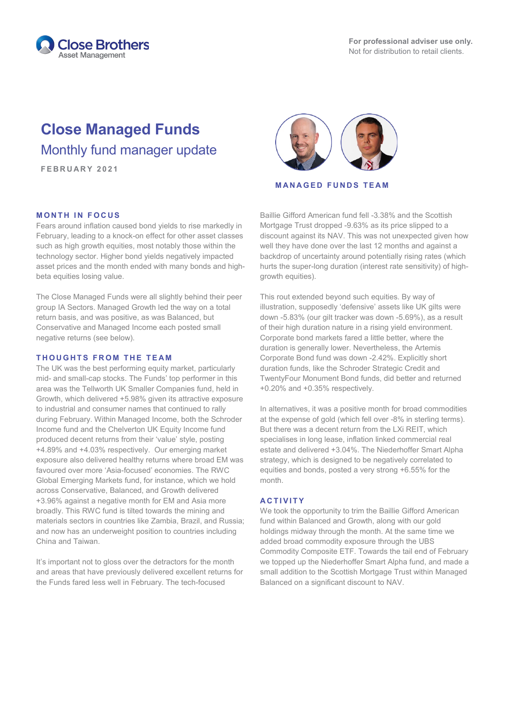

# **Close Managed Funds** Monthly fund manager update

**FEBRUARY 2021** 

### **MONTH IN FOCUS**

Fears around inflation caused bond yields to rise markedly in February, leading to a knock-on effect for other asset classes such as high growth equities, most notably those within the technology sector. Higher bond yields negatively impacted asset prices and the month ended with many bonds and highbeta equities losing value.

The Close Managed Funds were all slightly behind their peer group IA Sectors. Managed Growth led the way on a total return basis, and was positive, as was Balanced, but Conservative and Managed Income each posted small negative returns (see below).

#### **THOUGHTS FROM THE TEAM**

The UK was the best performing equity market, particularly mid- and small-cap stocks. The Funds' top performer in this area was the Tellworth UK Smaller Companies fund, held in Growth, which delivered +5.98% given its attractive exposure to industrial and consumer names that continued to rally during February. Within Managed Income, both the Schroder Income fund and the Chelverton UK Equity Income fund produced decent returns from their 'value' style, posting +4.89% and +4.03% respectively. Our emerging market exposure also delivered healthy returns where broad EM was favoured over more 'Asia-focused' economies. The RWC Global Emerging Markets fund, for instance, which we hold across Conservative, Balanced, and Growth delivered +3.96% against a negative month for EM and Asia more broadly. This RWC fund is tilted towards the mining and materials sectors in countries like Zambia, Brazil, and Russia; and now has an underweight position to countries including China and Taiwan.

It's important not to gloss over the detractors for the month and areas that have previously delivered excellent returns for the Funds fared less well in February. The tech-focused



**MANAGED FUNDS TEAM**

Baillie Gifford American fund fell -3.38% and the Scottish Mortgage Trust dropped -9.63% as its price slipped to a discount against its NAV. This was not unexpected given how well they have done over the last 12 months and against a backdrop of uncertainty around potentially rising rates (which hurts the super-long duration (interest rate sensitivity) of highgrowth equities).

This rout extended beyond such equities. By way of illustration, supposedly 'defensive' assets like UK gilts were down -5.83% (our gilt tracker was down -5.69%), as a result of their high duration nature in a rising yield environment. Corporate bond markets fared a little better, where the duration is generally lower. Nevertheless, the Artemis Corporate Bond fund was down -2.42%. Explicitly short duration funds, like the Schroder Strategic Credit and TwentyFour Monument Bond funds, did better and returned +0.20% and +0.35% respectively.

In alternatives, it was a positive month for broad commodities at the expense of gold (which fell over -8% in sterling terms). But there was a decent return from the LXi REIT, which specialises in long lease, inflation linked commercial real estate and delivered +3.04%. The Niederhoffer Smart Alpha strategy, which is designed to be negatively correlated to equities and bonds, posted a very strong +6.55% for the month.

#### **ACTIVITY**

We took the opportunity to trim the Baillie Gifford American fund within Balanced and Growth, along with our gold holdings midway through the month. At the same time we added broad commodity exposure through the UBS Commodity Composite ETF. Towards the tail end of February we topped up the Niederhoffer Smart Alpha fund, and made a small addition to the Scottish Mortgage Trust within Managed Balanced on a significant discount to NAV.